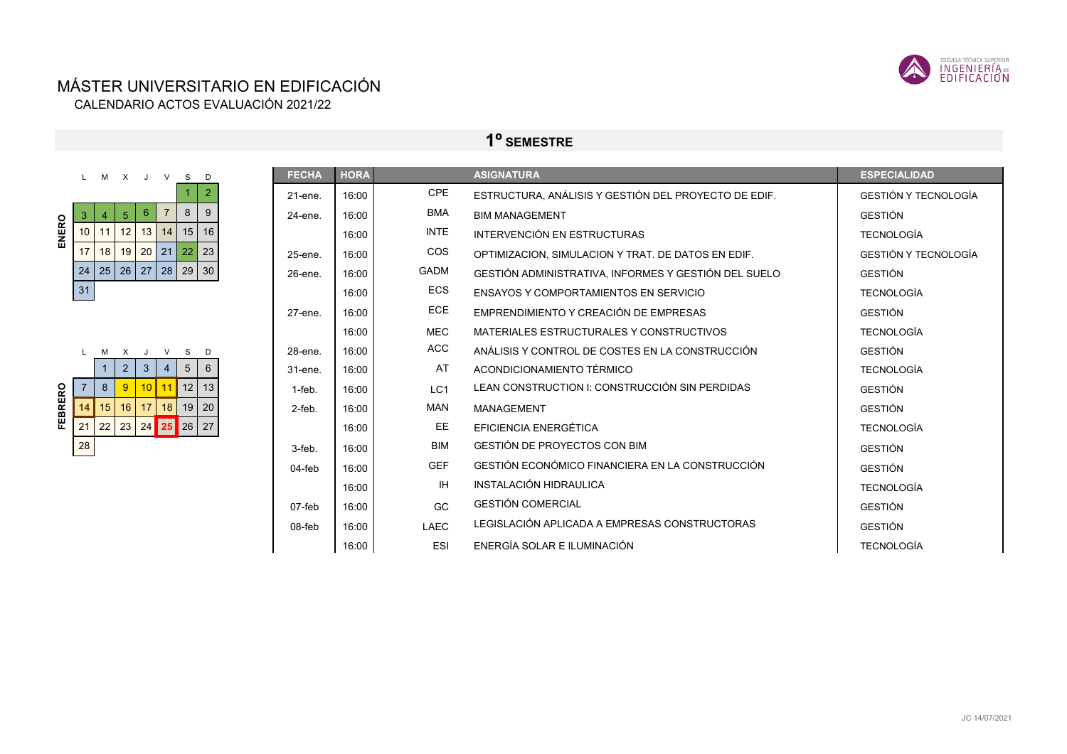

## CALENDARIO ACTOS EVALUACIÓN 2021/22 MÁSTER UNIVERSITARIO EN EDIFICACIÓN

21-ene. **FECHA**

## **1º SEMESTRE**

|         | 3  | 4  | 5              | 6  | 7      | 8  | 9  |
|---------|----|----|----------------|----|--------|----|----|
| ENERO   | 10 | 11 | 12             | 13 | 14     | 15 | 16 |
|         | 17 | 18 | 19             | 20 | 21     | 22 | 23 |
|         | 24 | 25 | 26             | 27 | 28     | 29 | 30 |
|         | 31 |    |                |    |        |    |    |
|         |    |    |                |    |        |    |    |
|         |    |    |                |    |        |    |    |
|         |    |    |                |    |        |    |    |
|         | L  | M  | Χ              | J  | V      | S  | D  |
|         |    | 1  | $\overline{2}$ | 3  | 4      | 5  | 6  |
|         | 7  | 8  | 9              | 10 | 1<br>1 | 12 | 13 |
|         | 14 | 15 | 16             | 17 | 18     | 19 | 20 |
| FEBRERO | 21 | 22 | 23             | 24 | 25     | 26 | 27 |
|         | 28 |    |                |    |        |    |    |

|                 | M        | $\times$                         | $\Box$ V     |                | S.             | n D            | <b>FECHA</b> | <b>HORA</b> |                 | <b>ASIGNATURA</b>                                    | <b>ESPECIALIDAD</b>         |
|-----------------|----------|----------------------------------|--------------|----------------|----------------|----------------|--------------|-------------|-----------------|------------------------------------------------------|-----------------------------|
|                 |          |                                  |              |                |                | $\overline{2}$ | $21$ -ene.   | 16:00       | <b>CPE</b>      | ESTRUCTURA, ANÁLISIS Y GESTIÓN DEL PROYECTO DE EDIF. | <b>GESTIÓN Y TECNOLOGÍA</b> |
|                 |          | $\overline{5}$                   | 6            | $\overline{7}$ | 8              | 9              | 24-ene.      | 16:00       | <b>BMA</b>      | <b>BIM MANAGEMENT</b>                                | <b>GESTIÓN</b>              |
|                 |          | 10 11 12 13                      |              | $14$ 15 16     |                |                |              | 16:00       | <b>INTE</b>     | INTERVENCIÓN EN ESTRUCTURAS                          | <b>TECNOLOGÍA</b>           |
| 17 <sup>1</sup> |          | 18 19 20 21 22 23                |              |                |                |                | 25-ene.      | 16:00       | <b>COS</b>      | OPTIMIZACION, SIMULACION Y TRAT, DE DATOS EN EDIF.   | GESTIÓN Y TECNOLOGÍA        |
|                 |          | 24   25   26   27   28   29   30 |              |                |                |                | 26-ene.      | 16:00       | <b>GADM</b>     | GESTIÓN ADMINISTRATIVA. INFORMES Y GESTIÓN DEL SUELO | <b>GESTIÓN</b>              |
| 31              |          |                                  |              |                |                |                |              | 16:00       | ECS             | ENSAYOS Y COMPORTAMIENTOS EN SERVICIO                | <b>TECNOLOGÍA</b>           |
|                 |          |                                  |              |                |                |                | 27-ene.      | 16:00       | ECE             | EMPRENDIMIENTO Y CREACIÓN DE EMPRESAS                | <b>GESTIÓN</b>              |
|                 |          |                                  |              |                |                |                |              | 16:00       | <b>MEC</b>      | MATERIALES ESTRUCTURALES Y CONSTRUCTIVOS             | <b>TECNOLOGÍA</b>           |
|                 | <b>M</b> | $\mathsf{X}$                     |              | <b>V</b>       | S              | D              | 28-ene.      | 16:00       | <b>ACC</b>      | ANÁLISIS Y CONTROL DE COSTES EN LA CONSTRUCCIÓN      | <b>GESTIÓN</b>              |
|                 |          | 2                                | $\mathbf{3}$ | $\vert$ 4      | 5 <sup>5</sup> | 6              | 31-ene.      | 16:00       | AT              | ACONDICIONAMIENTO TÉRMICO                            | <b>TECNOLOGÍA</b>           |
|                 | 8        | 9                                | 10           |                | $11$ 12        | 13             | $1$ -feb.    | 16:00       | LC <sub>1</sub> | LEAN CONSTRUCTION I: CONSTRUCCIÓN SIN PERDIDAS       | <b>GESTIÓN</b>              |
|                 |          | 14 15 16 17                      |              | $18$ 19 20     |                |                | $2$ -feb.    | 16:00       | MAN             | <b>MANAGEMENT</b>                                    | <b>GESTIÓN</b>              |
| 21 <sup>1</sup> |          | 22 23 24 25 26 27                |              |                |                |                |              | 16:00       | <b>EE</b>       | EFICIENCIA ENERGÉTICA                                | <b>TECNOLOGÍA</b>           |
| 28              |          |                                  |              |                |                |                | 3-feb.       | 16:00       | <b>BIM</b>      | <b>GESTIÓN DE PROYECTOS CON BIM</b>                  | <b>GESTIÓN</b>              |
|                 |          |                                  |              |                |                |                | $04$ -feb    | 16:00       | <b>GEF</b>      | GESTIÓN ECONÓMICO FINANCIERA EN LA CONSTRUCCIÓN      | <b>GESTIÓN</b>              |
|                 |          |                                  |              |                |                |                |              | 16:00       | <b>IH</b>       | INSTALACIÓN HIDRAULICA                               | <b>TECNOLOGÍA</b>           |
|                 |          |                                  |              |                |                |                | 07-feb       | 16:00       | GC              | <b>GESTIÓN COMERCIAL</b>                             | <b>GESTIÓN</b>              |
|                 |          |                                  |              |                |                |                | 08-feb       | 16:00       | <b>LAEC</b>     | LEGISLACIÓN APLICADA A EMPRESAS CONSTRUCTORAS        | <b>GESTIÓN</b>              |
|                 |          |                                  |              |                |                |                |              | 16:00       | <b>ESI</b>      | ENERGÍA SOLAR E ILUMINACIÓN                          | <b>TECNOLOGÍA</b>           |